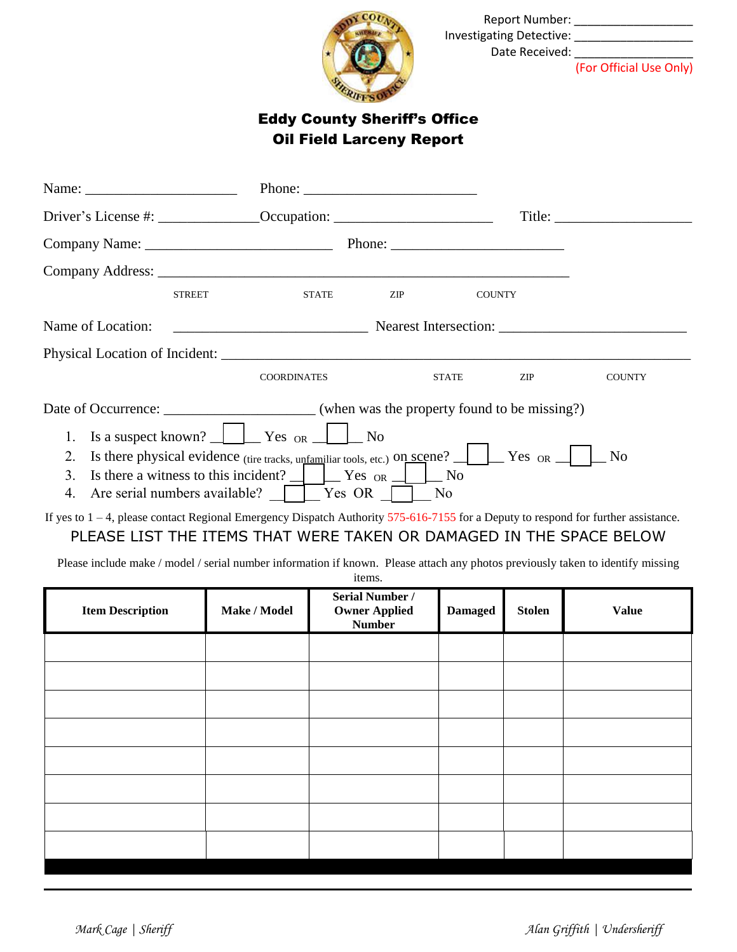

 Report Number: \_\_\_\_\_\_\_\_\_\_\_\_\_\_\_\_\_\_ Investigating Detective: \_\_\_\_\_\_\_\_\_\_\_\_\_\_\_\_\_\_ Date Received: \_\_\_\_\_\_\_\_\_\_\_\_\_\_\_\_\_\_

(For Official Use Only)

## Eddy County Sheriff's Office Oil Field Larceny Report

| Name: $\frac{1}{\sqrt{1-\frac{1}{2}}}\frac{1}{\sqrt{1-\frac{1}{2}}}\frac{1}{\sqrt{1-\frac{1}{2}}}\frac{1}{\sqrt{1-\frac{1}{2}}}\frac{1}{\sqrt{1-\frac{1}{2}}}\frac{1}{\sqrt{1-\frac{1}{2}}}\frac{1}{\sqrt{1-\frac{1}{2}}}\frac{1}{\sqrt{1-\frac{1}{2}}}\frac{1}{\sqrt{1-\frac{1}{2}}}\frac{1}{\sqrt{1-\frac{1}{2}}}\frac{1}{\sqrt{1-\frac{1}{2}}}\frac{1}{\sqrt{1-\frac{1}{2}}}\frac{1}{\sqrt{1-\frac{1}{2}}}\frac{1}{\$ |               |                                                                                                                                                                                                                                                                                                                                                                                                               |                |               |                 |  |  |  |
|--------------------------------------------------------------------------------------------------------------------------------------------------------------------------------------------------------------------------------------------------------------------------------------------------------------------------------------------------------------------------------------------------------------------------|---------------|---------------------------------------------------------------------------------------------------------------------------------------------------------------------------------------------------------------------------------------------------------------------------------------------------------------------------------------------------------------------------------------------------------------|----------------|---------------|-----------------|--|--|--|
|                                                                                                                                                                                                                                                                                                                                                                                                                          |               |                                                                                                                                                                                                                                                                                                                                                                                                               |                |               | $\text{Title:}$ |  |  |  |
|                                                                                                                                                                                                                                                                                                                                                                                                                          |               |                                                                                                                                                                                                                                                                                                                                                                                                               |                |               |                 |  |  |  |
|                                                                                                                                                                                                                                                                                                                                                                                                                          |               |                                                                                                                                                                                                                                                                                                                                                                                                               |                |               |                 |  |  |  |
|                                                                                                                                                                                                                                                                                                                                                                                                                          | <b>STREET</b> | <b>STATE</b>                                                                                                                                                                                                                                                                                                                                                                                                  | ZIP            | <b>COUNTY</b> |                 |  |  |  |
| Name of Location:                                                                                                                                                                                                                                                                                                                                                                                                        |               |                                                                                                                                                                                                                                                                                                                                                                                                               |                |               |                 |  |  |  |
|                                                                                                                                                                                                                                                                                                                                                                                                                          |               |                                                                                                                                                                                                                                                                                                                                                                                                               |                |               |                 |  |  |  |
|                                                                                                                                                                                                                                                                                                                                                                                                                          |               | <b>COORDINATES</b>                                                                                                                                                                                                                                                                                                                                                                                            | <b>STATE</b>   | ZIP           | <b>COUNTY</b>   |  |  |  |
|                                                                                                                                                                                                                                                                                                                                                                                                                          |               |                                                                                                                                                                                                                                                                                                                                                                                                               |                |               |                 |  |  |  |
|                                                                                                                                                                                                                                                                                                                                                                                                                          |               | 1. Is a suspect known? $\frac{1}{\sqrt{1-\frac{1}{\sqrt{1-\frac{1}{\sqrt{1-\frac{1}{\sqrt{1-\frac{1}{\sqrt{1-\frac{1}{\sqrt{1-\frac{1}{\sqrt{1-\frac{1}{\sqrt{1-\frac{1}{\sqrt{1-\frac{1}{\sqrt{1-\frac{1}{\sqrt{1-\frac{1}{\sqrt{1-\frac{1}{\sqrt{1-\frac{1}{\sqrt{1-\frac{1}{\sqrt{1-\frac{1}{\sqrt{1-\frac{1}{\sqrt{1-\frac{1}{\sqrt{1-\frac{1}{\sqrt{1-\frac{1}{\sqrt{1-\frac{1}{\sqrt{1-\frac{1}{\sqrt{$ |                |               |                 |  |  |  |
| Is there physical evidence (tire tracks, unfamiliar tools, etc.) on scene? $\Box$ Yes or $\Box$ No<br>2.                                                                                                                                                                                                                                                                                                                 |               |                                                                                                                                                                                                                                                                                                                                                                                                               |                |               |                 |  |  |  |
| 3.                                                                                                                                                                                                                                                                                                                                                                                                                       |               | Is there a witness to this incident? $\Box$ $\Box$ Yes or $\Box$ $\Box$ No                                                                                                                                                                                                                                                                                                                                    |                |               |                 |  |  |  |
|                                                                                                                                                                                                                                                                                                                                                                                                                          |               | 4. Are serial numbers available? $\Box$ Yes OR $\Box$                                                                                                                                                                                                                                                                                                                                                         | N <sub>o</sub> |               |                 |  |  |  |

If yes to 1 – 4, please contact Regional Emergency Dispatch Authority 575-616-7155 for a Deputy to respond for further assistance. PLEASE LIST THE ITEMS THAT WERE TAKEN OR DAMAGED IN THE SPACE BELOW

Please include make / model / serial number information if known. Please attach any photos previously taken to identify missing items.

| <b>Item Description</b> | Make / Model | Serial Number /<br><b>Owner Applied</b><br><b>Number</b> | <b>Damaged</b> | <b>Stolen</b> | <b>Value</b> |
|-------------------------|--------------|----------------------------------------------------------|----------------|---------------|--------------|
|                         |              |                                                          |                |               |              |
|                         |              |                                                          |                |               |              |
|                         |              |                                                          |                |               |              |
|                         |              |                                                          |                |               |              |
|                         |              |                                                          |                |               |              |
|                         |              |                                                          |                |               |              |
|                         |              |                                                          |                |               |              |
|                         |              |                                                          |                |               |              |
|                         |              |                                                          |                |               |              |